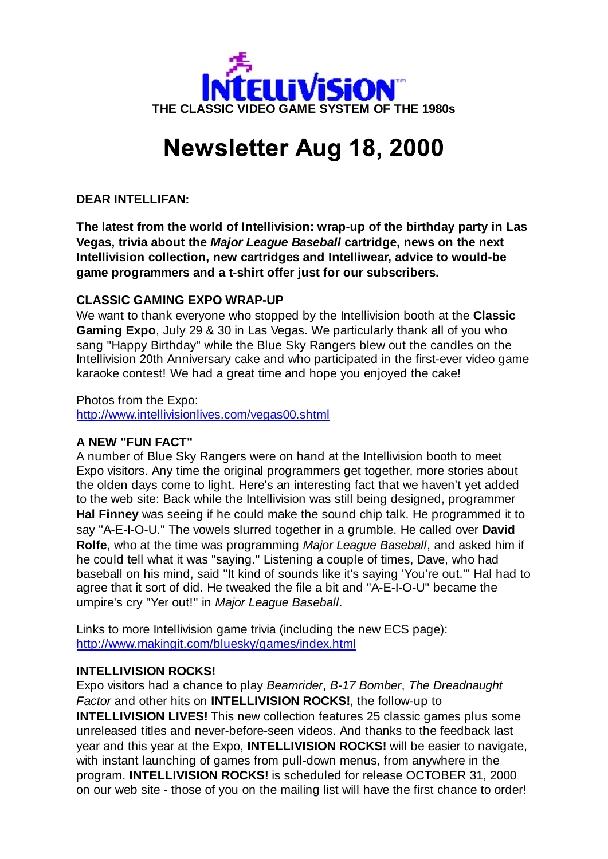

# **Newsletter Aug 18, 2000**

# **DEAR INTELLIFAN:**

**The latest from the world of Intellivision: wrap-up of the birthday party in Las Vegas, trivia about the** *Major League Baseball* **cartridge, news on the next Intellivision collection, new cartridges and Intelliwear, advice to would-be game programmers and a t-shirt offer just for our subscribers.**

# **CLASSIC GAMING EXPO WRAP-UP**

We want to thank everyone who stopped by the Intellivision booth at the **Classic Gaming Expo**, July 29 & 30 in Las Vegas. We particularly thank all of you who sang "Happy Birthday" while the Blue Sky Rangers blew out the candles on the Intellivision 20th Anniversary cake and who participated in the first-ever video game karaoke contest! We had a great time and hope you enjoyed the cake!

Photos from the Expo: http://www.intellivisionlives.com/vegas00.shtml

# **A NEW "FUN FACT"**

A number of Blue Sky Rangers were on hand at the Intellivision booth to meet Expo visitors. Any time the original programmers get together, more stories about the olden days come to light. Here's an interesting fact that we haven't yet added to the web site: Back while the Intellivision was still being designed, programmer **Hal Finney** was seeing if he could make the sound chip talk. He programmed it to say "A-E-I-O-U." The vowels slurred together in a grumble. He called over **David Rolfe**, who at the time was programming *Major League Baseball*, and asked him if he could tell what it was "saying." Listening a couple of times, Dave, who had baseball on his mind, said "It kind of sounds like it's saying 'You're out.'" Hal had to agree that it sort of did. He tweaked the file a bit and "A-E-I-O-U" became the umpire's cry "Yer out!" in *Major League Baseball*.

Links to more Intellivision game trivia (including the new ECS page): http://www.makingit.com/bluesky/games/index.html

# **INTELLIVISION ROCKS!**

Expo visitors had a chance to play *Beamrider*, *B-17 Bomber*, *The Dreadnaught Factor* and other hits on **INTELLIVISION ROCKS!**, the follow-up to **INTELLIVISION LIVES!** This new collection features 25 classic games plus some unreleased titles and never-before-seen videos. And thanks to the feedback last year and this year at the Expo, **INTELLIVISION ROCKS!** will be easier to navigate, with instant launching of games from pull-down menus, from anywhere in the program. **INTELLIVISION ROCKS!** is scheduled for release OCTOBER 31, 2000 on our web site - those of you on the mailing list will have the first chance to order!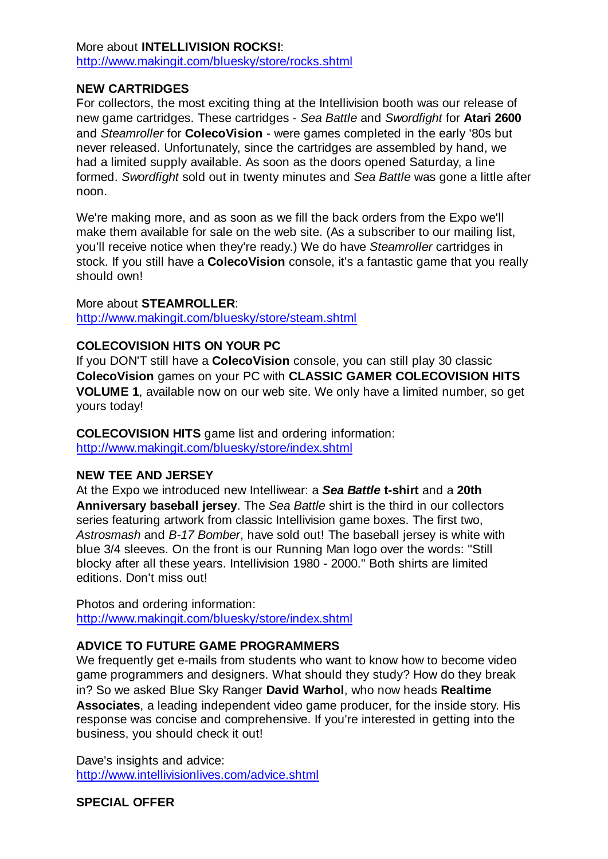# More about **INTELLIVISION ROCKS!**: http://www.makingit.com/bluesky/store/rocks.shtml

# **NEW CARTRIDGES**

For collectors, the most exciting thing at the Intellivision booth was our release of new game cartridges. These cartridges - *Sea Battle* and *Swordfight* for **Atari 2600** and *Steamroller* for **ColecoVision** - were games completed in the early '80s but never released. Unfortunately, since the cartridges are assembled by hand, we had a limited supply available. As soon as the doors opened Saturday, a line formed. *Swordfight* sold out in twenty minutes and *Sea Battle* was gone a little after noon.

We're making more, and as soon as we fill the back orders from the Expo we'll make them available for sale on the web site. (As a subscriber to our mailing list, you'll receive notice when they're ready.) We do have *Steamroller* cartridges in stock. If you still have a **ColecoVision** console, it's a fantastic game that you really should own!

#### More about **STEAMROLLER**:

http://www.makingit.com/bluesky/store/steam.shtml

# **COLECOVISION HITS ON YOUR PC**

If you DON'T still have a **ColecoVision** console, you can still play 30 classic **ColecoVision** games on your PC with **CLASSIC GAMER COLECOVISION HITS VOLUME 1**, available now on our web site. We only have a limited number, so get yours today!

**COLECOVISION HITS** game list and ordering information: http://www.makingit.com/bluesky/store/index.shtml

# **NEW TEE AND JERSEY**

At the Expo we introduced new Intelliwear: a *Sea Battle* **t-shirt** and a **20th Anniversary baseball jersey**. The *Sea Battle* shirt is the third in our collectors series featuring artwork from classic Intellivision game boxes. The first two, *Astrosmash* and *B-17 Bomber*, have sold out! The baseball jersey is white with blue 3/4 sleeves. On the front is our Running Man logo over the words: "Still blocky after all these years. Intellivision 1980 - 2000." Both shirts are limited editions. Don't miss out!

Photos and ordering information: http://www.makingit.com/bluesky/store/index.shtml

# **ADVICE TO FUTURE GAME PROGRAMMERS**

We frequently get e-mails from students who want to know how to become video game programmers and designers. What should they study? How do they break in? So we asked Blue Sky Ranger **David Warhol**, who now heads **Realtime Associates**, a leading independent video game producer, for the inside story. His response was concise and comprehensive. If you're interested in getting into the business, you should check it out!

Dave's insights and advice: http://www.intellivisionlives.com/advice.shtml

# **SPECIAL OFFER**